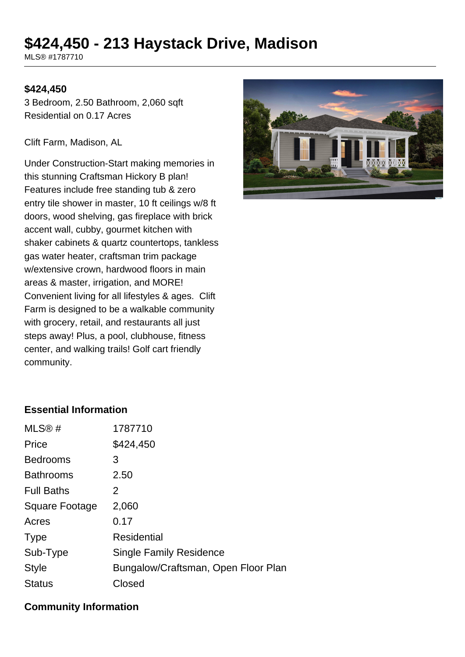# **\$424,450 - 213 Haystack Drive, Madison**

MLS® #1787710

#### **\$424,450**

3 Bedroom, 2.50 Bathroom, 2,060 sqft Residential on 0.17 Acres

Clift Farm, Madison, AL

Under Construction-Start making memories in this stunning Craftsman Hickory B plan! Features include free standing tub & zero entry tile shower in master, 10 ft ceilings w/8 ft doors, wood shelving, gas fireplace with brick accent wall, cubby, gourmet kitchen with shaker cabinets & quartz countertops, tankless gas water heater, craftsman trim package w/extensive crown, hardwood floors in main areas & master, irrigation, and MORE! Convenient living for all lifestyles & ages. Clift Farm is designed to be a walkable community with grocery, retail, and restaurants all just steps away! Plus, a pool, clubhouse, fitness center, and walking trails! Golf cart friendly community.



#### **Essential Information**

| MLS@#                 | 1787710                             |
|-----------------------|-------------------------------------|
| Price                 | \$424,450                           |
| <b>Bedrooms</b>       | 3                                   |
| <b>Bathrooms</b>      | 2.50                                |
| <b>Full Baths</b>     | 2                                   |
| <b>Square Footage</b> | 2,060                               |
| Acres                 | 0.17                                |
| <b>Type</b>           | Residential                         |
| Sub-Type              | <b>Single Family Residence</b>      |
| <b>Style</b>          | Bungalow/Craftsman, Open Floor Plan |
| Status                | Closed                              |
|                       |                                     |

#### **Community Information**